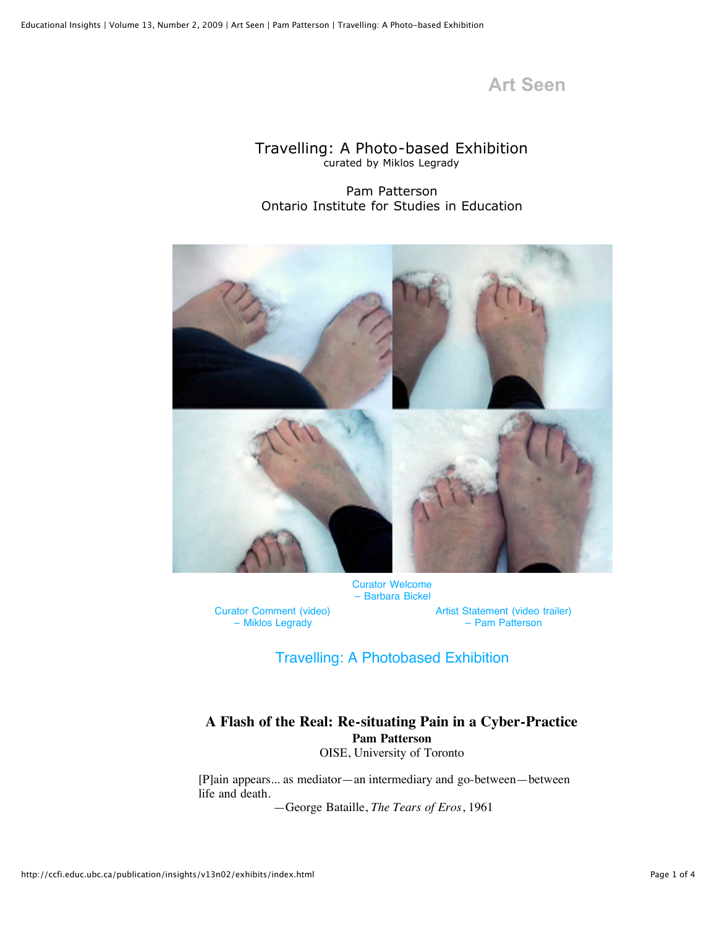# **Art Seen**

### Travelling: A Photo-based Exhibition curated by Miklos Legrady

Pam Patterson Ontario Institute for Studies in Education



[Curator Welcome](http://ccfi.educ.ubc.ca/publication/insights/v13n02/exhibits/curatorbickel.html) – Barbara Bickel

[Curator Comment \(video\)](http://ccfi.educ.ubc.ca/publication/insights/v13n02/exhibits/legradystatement.mov) – Miklos Legrady

[Artist Statement \(video trailer\)](http://ccfi.educ.ubc.ca/publication/insights/v13n02/exhibits/pattersonstatement.mov) – Pam Patterson

### [Travelling: A Photobased Exhibition](http://ccfi.educ.ubc.ca/publication/insights/v13n02/exhibits/travelling.mov)

## **A Flash of the Real: Re-situating Pain in a Cyber-Practice Pam Patterson**

OISE, University of Toronto

[P]ain appears... as mediator—an intermediary and go-between—between life and death.

—George Bataille, *The Tears of Eros*, 1961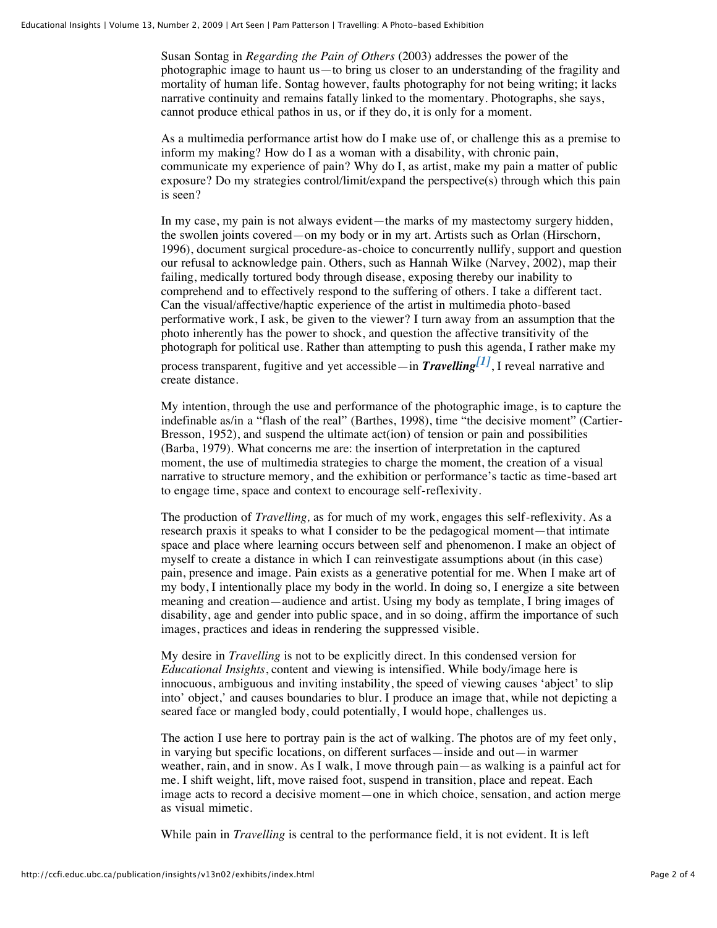Susan Sontag in *Regarding the Pain of Others* (2003) addresses the power of the photographic image to haunt us—to bring us closer to an understanding of the fragility and mortality of human life. Sontag however, faults photography for not being writing; it lacks narrative continuity and remains fatally linked to the momentary. Photographs, she says, cannot produce ethical pathos in us, or if they do, it is only for a moment.

As a multimedia performance artist how do I make use of, or challenge this as a premise to inform my making? How do I as a woman with a disability, with chronic pain, communicate my experience of pain? Why do I, as artist, make my pain a matter of public exposure? Do my strategies control/limit/expand the perspective(s) through which this pain is seen?

In my case, my pain is not always evident—the marks of my mastectomy surgery hidden, the swollen joints covered—on my body or in my art. Artists such as Orlan (Hirschorn, 1996), document surgical procedure-as-choice to concurrently nullify, support and question our refusal to acknowledge pain. Others, such as Hannah Wilke (Narvey, 2002), map their failing, medically tortured body through disease, exposing thereby our inability to comprehend and to effectively respond to the suffering of others. I take a different tact. Can the visual/affective/haptic experience of the artist in multimedia photo-based performative work, I ask, be given to the viewer? I turn away from an assumption that the photo inherently has the power to shock, and question the affective transitivity of the photograph for political use. Rather than attempting to push this agenda, I rather make my

process transparent, fugitive and yet accessible—in *Travelling[\[1\]](http://ccfi.educ.ubc.ca/publication/insights/v13n02/exhibits/index.html#_ftn1)*, I reveal narrative and create distance.

My intention, through the use and performance of the photographic image, is to capture the indefinable as/in a "flash of the real" (Barthes, 1998), time "the decisive moment" (Cartier-Bresson, 1952), and suspend the ultimate act(ion) of tension or pain and possibilities (Barba, 1979). What concerns me are: the insertion of interpretation in the captured moment, the use of multimedia strategies to charge the moment, the creation of a visual narrative to structure memory, and the exhibition or performance's tactic as time-based art to engage time, space and context to encourage self-reflexivity.

The production of *Travelling,* as for much of my work, engages this self-reflexivity. As a research praxis it speaks to what I consider to be the pedagogical moment—that intimate space and place where learning occurs between self and phenomenon. I make an object of myself to create a distance in which I can reinvestigate assumptions about (in this case) pain, presence and image. Pain exists as a generative potential for me. When I make art of my body, I intentionally place my body in the world. In doing so, I energize a site between meaning and creation—audience and artist. Using my body as template, I bring images of disability, age and gender into public space, and in so doing, affirm the importance of such images, practices and ideas in rendering the suppressed visible.

My desire in *Travelling* is not to be explicitly direct. In this condensed version for *Educational Insights*, content and viewing is intensified. While body/image here is innocuous, ambiguous and inviting instability, the speed of viewing causes 'abject' to slip into' object,' and causes boundaries to blur. I produce an image that, while not depicting a seared face or mangled body, could potentially, I would hope, challenges us.

The action I use here to portray pain is the act of walking. The photos are of my feet only, in varying but specific locations, on different surfaces—inside and out—in warmer weather, rain, and in snow. As I walk, I move through pain—as walking is a painful act for me. I shift weight, lift, move raised foot, suspend in transition, place and repeat. Each image acts to record a decisive moment—one in which choice, sensation, and action merge as visual mimetic.

While pain in *Travelling* is central to the performance field, it is not evident. It is left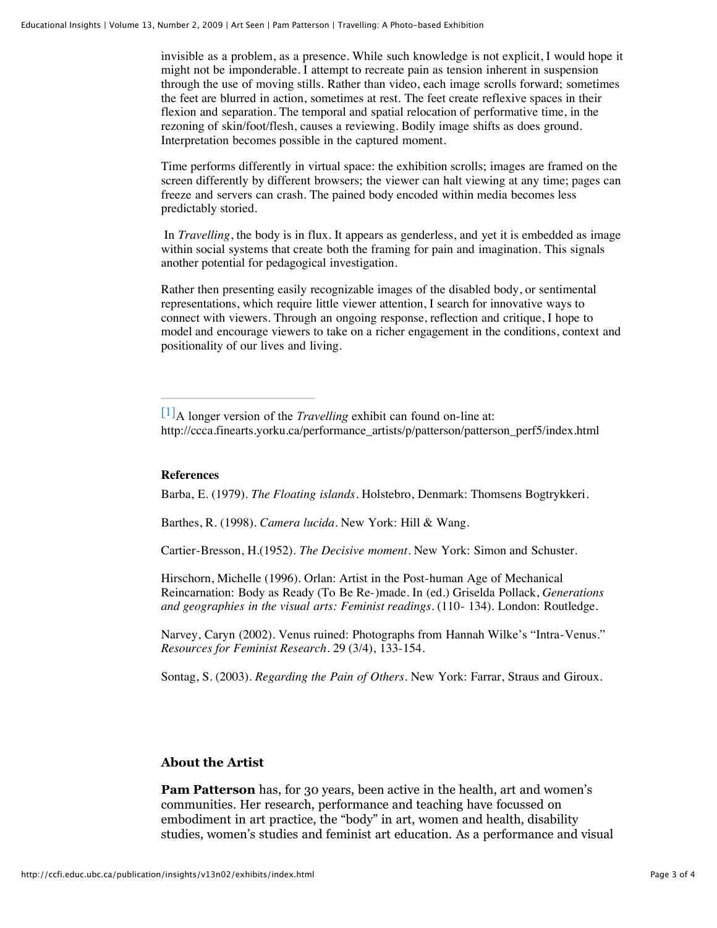invisible as a problem, as a presence. While such knowledge is not explicit, I would hope it might not be imponderable. I attempt to recreate pain as tension inherent in suspension through the use of moving stills. Rather than video, each image scrolls forward; sometimes the feet are blurred in action, sometimes at rest. The feet create reflexive spaces in their flexion and separation. The temporal and spatial relocation of performative time, in the rezoning of skin/foot/flesh, causes a reviewing. Bodily image shifts as does ground. Interpretation becomes possible in the captured moment.

Time performs differently in virtual space: the exhibition scrolls; images are framed on the screen differently by different browsers; the viewer can halt viewing at any time; pages can freeze and servers can crash. The pained body encoded within media becomes less predictably storied.

 In *Travelling*, the body is in flux. It appears as genderless, and yet it is embedded as image within social systems that create both the framing for pain and imagination. This signals another potential for pedagogical investigation.

Rather then presenting easily recognizable images of the disabled body, or sentimental representations, which require little viewer attention, I search for innovative ways to connect with viewers. Through an ongoing response, reflection and critique, I hope to model and encourage viewers to take on a richer engagement in the conditions, context and positionality of our lives and living.

#### **References**

Barba, E. (1979). *The Floating islands*. Holstebro, Denmark: Thomsens Bogtrykkeri.

Barthes, R. (1998). *Camera lucida*. New York: Hill & Wang.

Cartier-Bresson, H.(1952). *The Decisive moment*. New York: Simon and Schuster.

Hirschorn, Michelle (1996). Orlan: Artist in the Post-human Age of Mechanical Reincarnation: Body as Ready (To Be Re-)made. In (ed.) Griselda Pollack, *Generations and geographies in the visual arts: Feminist readings.* (110- 134). London: Routledge.

Narvey, Caryn (2002). Venus ruined: Photographs from Hannah Wilke's "Intra-Venus." *Resources for Feminist Research*. 29 (3/4), 133-154.

Sontag, S. (2003). *Regarding the Pain of Others.* New York: Farrar, Straus and Giroux.

### **About the Artist**

**Pam Patterson** has, for 30 years, been active in the health, art and women's communities. Her research, performance and teaching have focussed on embodiment in art practice, the "body" in art, women and health, disability studies, women's studies and feminist art education. As a performance and visual

[<sup>\[1\]</sup>](http://ccfi.educ.ubc.ca/publication/insights/v13n02/exhibits/index.html#_ftnref1)A longer version of the *Travelling* exhibit can found on-line at: http://ccca.finearts.yorku.ca/performance\_artists/p/patterson/patterson\_perf5/index.html